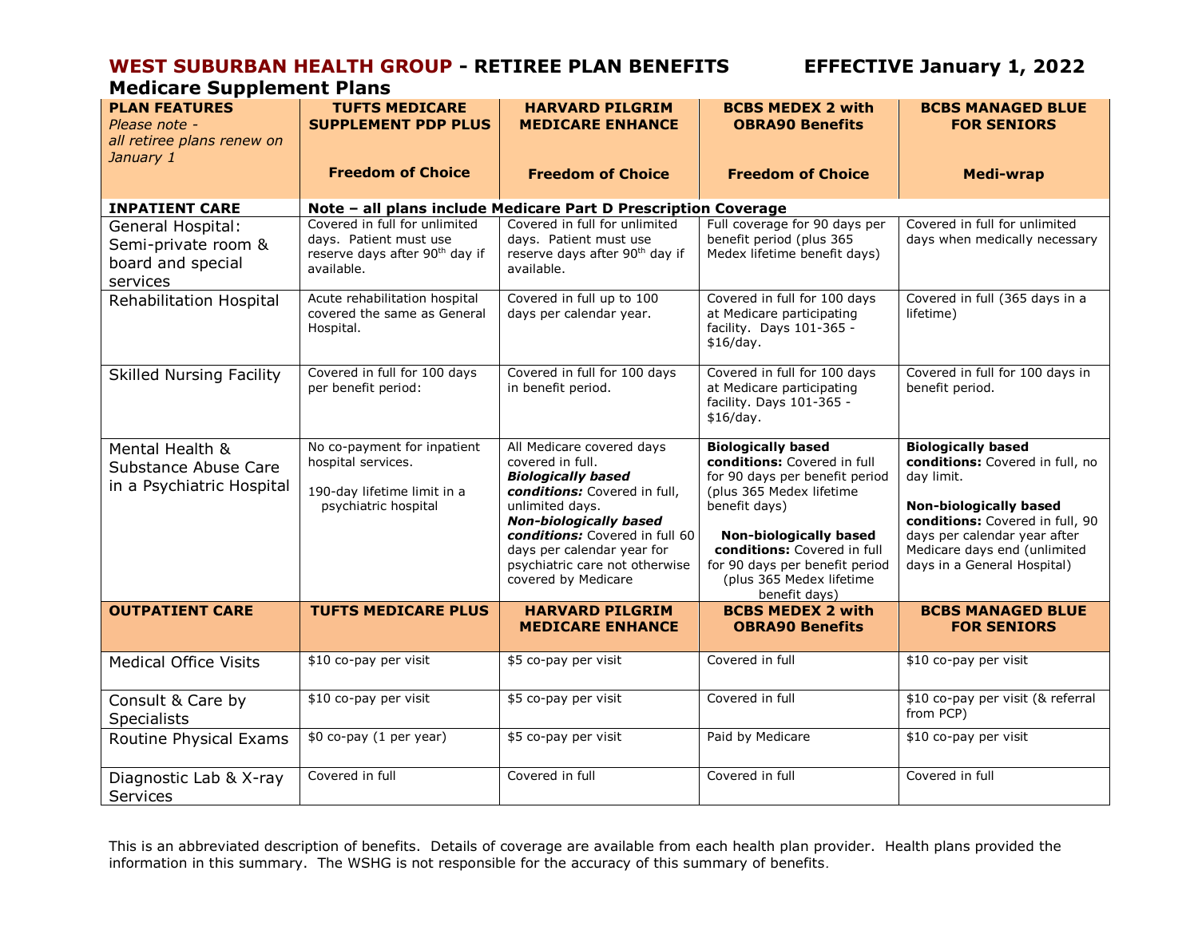## **WEST SUBURBAN HEALTH GROUP - RETIREE PLAN BENEFITS EFFECTIVE January 1, 2022**

### **Medicare Supplement Plans**

| <b>PLAN FEATURES</b><br>Please note -<br>all retiree plans renew on<br>January 1                                              | <b>TUFTS MEDICARE</b><br><b>SUPPLEMENT PDP PLUS</b>                                                                                                                                              | <b>HARVARD PILGRIM</b><br><b>MEDICARE ENHANCE</b>                                                                                                                                                                                                                                       | <b>BCBS MEDEX 2 with</b><br><b>OBRA90 Benefits</b>                                                                                                                                                                                                                                     | <b>BCBS MANAGED BLUE</b><br><b>FOR SENIORS</b>                                                                                                                                                                                                |
|-------------------------------------------------------------------------------------------------------------------------------|--------------------------------------------------------------------------------------------------------------------------------------------------------------------------------------------------|-----------------------------------------------------------------------------------------------------------------------------------------------------------------------------------------------------------------------------------------------------------------------------------------|----------------------------------------------------------------------------------------------------------------------------------------------------------------------------------------------------------------------------------------------------------------------------------------|-----------------------------------------------------------------------------------------------------------------------------------------------------------------------------------------------------------------------------------------------|
|                                                                                                                               | <b>Freedom of Choice</b>                                                                                                                                                                         | <b>Freedom of Choice</b>                                                                                                                                                                                                                                                                | <b>Freedom of Choice</b>                                                                                                                                                                                                                                                               | <b>Medi-wrap</b>                                                                                                                                                                                                                              |
| <b>INPATIENT CARE</b><br>General Hospital:<br>Semi-private room &<br>board and special<br>services<br>Rehabilitation Hospital | Covered in full for unlimited<br>days. Patient must use<br>reserve days after 90 <sup>th</sup> day if<br>available.<br>Acute rehabilitation hospital<br>covered the same as General<br>Hospital. | Note - all plans include Medicare Part D Prescription Coverage<br>Covered in full for unlimited<br>days. Patient must use<br>reserve days after 90 <sup>th</sup> day if<br>available.<br>Covered in full up to 100<br>days per calendar year.                                           | Full coverage for 90 days per<br>benefit period (plus 365<br>Medex lifetime benefit days)<br>Covered in full for 100 days<br>at Medicare participating<br>facility. Days 101-365 -<br>\$16/day.                                                                                        | Covered in full for unlimited<br>days when medically necessary<br>Covered in full (365 days in a<br>lifetime)                                                                                                                                 |
| <b>Skilled Nursing Facility</b>                                                                                               | Covered in full for 100 days<br>per benefit period:                                                                                                                                              | Covered in full for 100 days<br>in benefit period.                                                                                                                                                                                                                                      | Covered in full for 100 days<br>at Medicare participating<br>facility. Days 101-365 -<br>\$16/day.                                                                                                                                                                                     | Covered in full for 100 days in<br>benefit period.                                                                                                                                                                                            |
| Mental Health &<br>Substance Abuse Care<br>in a Psychiatric Hospital                                                          | No co-payment for inpatient<br>hospital services.<br>190-day lifetime limit in a<br>psychiatric hospital                                                                                         | All Medicare covered days<br>covered in full.<br><b>Biologically based</b><br>conditions: Covered in full,<br>unlimited days.<br><b>Non-biologically based</b><br>conditions: Covered in full 60<br>days per calendar year for<br>psychiatric care not otherwise<br>covered by Medicare | <b>Biologically based</b><br>conditions: Covered in full<br>for 90 days per benefit period<br>(plus 365 Medex lifetime<br>benefit days)<br><b>Non-biologically based</b><br>conditions: Covered in full<br>for 90 days per benefit period<br>(plus 365 Medex lifetime<br>benefit days) | <b>Biologically based</b><br>conditions: Covered in full, no<br>day limit.<br><b>Non-biologically based</b><br>conditions: Covered in full, 90<br>days per calendar year after<br>Medicare days end (unlimited<br>days in a General Hospital) |
| <b>OUTPATIENT CARE</b>                                                                                                        | <b>TUFTS MEDICARE PLUS</b>                                                                                                                                                                       | <b>HARVARD PILGRIM</b><br><b>MEDICARE ENHANCE</b>                                                                                                                                                                                                                                       | <b>BCBS MEDEX 2 with</b><br><b>OBRA90 Benefits</b>                                                                                                                                                                                                                                     | <b>BCBS MANAGED BLUE</b><br><b>FOR SENIORS</b>                                                                                                                                                                                                |
| <b>Medical Office Visits</b>                                                                                                  | \$10 co-pay per visit                                                                                                                                                                            | \$5 co-pay per visit                                                                                                                                                                                                                                                                    | Covered in full                                                                                                                                                                                                                                                                        | \$10 co-pay per visit                                                                                                                                                                                                                         |
| Consult & Care by<br><b>Specialists</b>                                                                                       | \$10 co-pay per visit                                                                                                                                                                            | \$5 co-pay per visit                                                                                                                                                                                                                                                                    | Covered in full                                                                                                                                                                                                                                                                        | \$10 co-pay per visit (& referral<br>from PCP)                                                                                                                                                                                                |
| Routine Physical Exams                                                                                                        | \$0 co-pay (1 per year)                                                                                                                                                                          | \$5 co-pay per visit                                                                                                                                                                                                                                                                    | Paid by Medicare                                                                                                                                                                                                                                                                       | \$10 co-pay per visit                                                                                                                                                                                                                         |
| Diagnostic Lab & X-ray<br>Services                                                                                            | Covered in full                                                                                                                                                                                  | Covered in full                                                                                                                                                                                                                                                                         | Covered in full                                                                                                                                                                                                                                                                        | Covered in full                                                                                                                                                                                                                               |

This is an abbreviated description of benefits. Details of coverage are available from each health plan provider. Health plans provided the information in this summary. The WSHG is not responsible for the accuracy of this summary of benefits*.*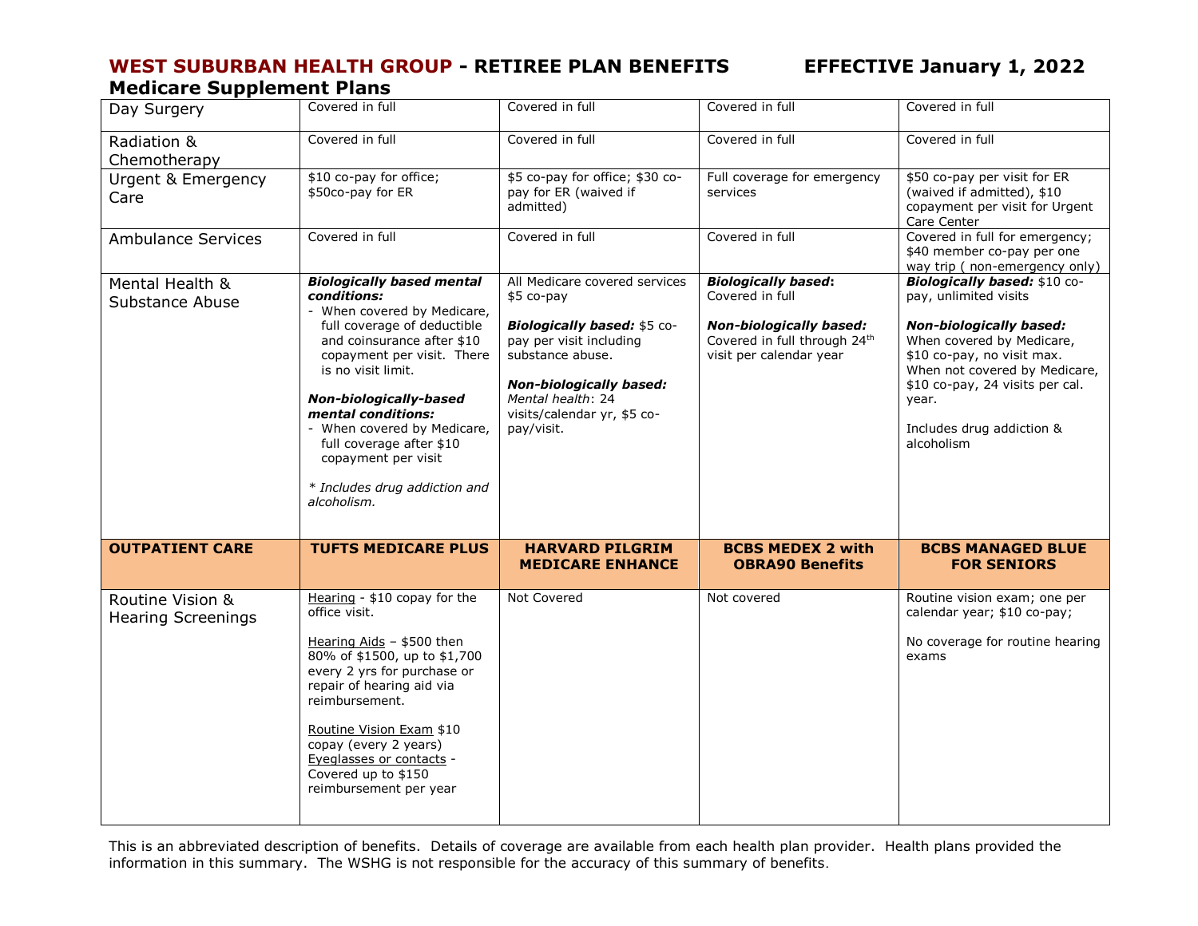### **WEST SUBURBAN HEALTH GROUP - RETIREE PLAN BENEFITS EFFECTIVE January 1, 2022 Medicare Supplement Plans**

| Day Surgery                                   | Covered in full                                                                                                                                                                                                                                                                                                                                                                   | Covered in full                                                                                                                                                                                                               | Covered in full                                                                                                                            | Covered in full                                                                                                                                                                                                                                                            |
|-----------------------------------------------|-----------------------------------------------------------------------------------------------------------------------------------------------------------------------------------------------------------------------------------------------------------------------------------------------------------------------------------------------------------------------------------|-------------------------------------------------------------------------------------------------------------------------------------------------------------------------------------------------------------------------------|--------------------------------------------------------------------------------------------------------------------------------------------|----------------------------------------------------------------------------------------------------------------------------------------------------------------------------------------------------------------------------------------------------------------------------|
| Radiation &<br>Chemotherapy                   | Covered in full                                                                                                                                                                                                                                                                                                                                                                   | Covered in full                                                                                                                                                                                                               | Covered in full                                                                                                                            | Covered in full                                                                                                                                                                                                                                                            |
| <b>Urgent &amp; Emergency</b><br>Care         | \$10 co-pay for office;<br>\$50co-pay for ER                                                                                                                                                                                                                                                                                                                                      | \$5 co-pay for office; \$30 co-<br>pay for ER (waived if<br>admitted)                                                                                                                                                         | Full coverage for emergency<br>services                                                                                                    | \$50 co-pay per visit for ER<br>(waived if admitted), \$10<br>copayment per visit for Urgent<br>Care Center                                                                                                                                                                |
| <b>Ambulance Services</b>                     | Covered in full                                                                                                                                                                                                                                                                                                                                                                   | Covered in full                                                                                                                                                                                                               | Covered in full                                                                                                                            | Covered in full for emergency;<br>\$40 member co-pay per one<br>way trip ( non-emergency only)                                                                                                                                                                             |
| Mental Health &<br>Substance Abuse            | <b>Biologically based mental</b><br>conditions:<br>- When covered by Medicare,<br>full coverage of deductible<br>and coinsurance after \$10<br>copayment per visit. There<br>is no visit limit.<br>Non-biologically-based<br>mental conditions:<br>- When covered by Medicare,<br>full coverage after \$10<br>copayment per visit<br>* Includes drug addiction and<br>alcoholism. | All Medicare covered services<br>\$5 co-pay<br>Biologically based: \$5 co-<br>pay per visit including<br>substance abuse.<br><b>Non-biologically based:</b><br>Mental health: 24<br>visits/calendar yr, \$5 co-<br>pay/visit. | <b>Biologically based:</b><br>Covered in full<br><b>Non-biologically based:</b><br>Covered in full through 24th<br>visit per calendar year | Biologically based: \$10 co-<br>pay, unlimited visits<br><b>Non-biologically based:</b><br>When covered by Medicare,<br>\$10 co-pay, no visit max.<br>When not covered by Medicare,<br>\$10 co-pay, 24 visits per cal.<br>year.<br>Includes drug addiction &<br>alcoholism |
| <b>OUTPATIENT CARE</b>                        | <b>TUFTS MEDICARE PLUS</b>                                                                                                                                                                                                                                                                                                                                                        | <b>HARVARD PILGRIM</b><br><b>MEDICARE ENHANCE</b>                                                                                                                                                                             | <b>BCBS MEDEX 2 with</b><br><b>OBRA90 Benefits</b>                                                                                         | <b>BCBS MANAGED BLUE</b><br><b>FOR SENIORS</b>                                                                                                                                                                                                                             |
| Routine Vision &<br><b>Hearing Screenings</b> | Hearing - \$10 copay for the<br>office visit.<br>Hearing Aids - \$500 then<br>80% of \$1500, up to \$1,700<br>every 2 yrs for purchase or<br>repair of hearing aid via<br>reimbursement.<br>Routine Vision Exam \$10<br>copay (every 2 years)<br>Eyeglasses or contacts -<br>Covered up to \$150<br>reimbursement per year                                                        | Not Covered                                                                                                                                                                                                                   | Not covered                                                                                                                                | Routine vision exam; one per<br>calendar year; \$10 co-pay;<br>No coverage for routine hearing<br>exams                                                                                                                                                                    |

This is an abbreviated description of benefits. Details of coverage are available from each health plan provider. Health plans provided the information in this summary. The WSHG is not responsible for the accuracy of this summary of benefits*.*